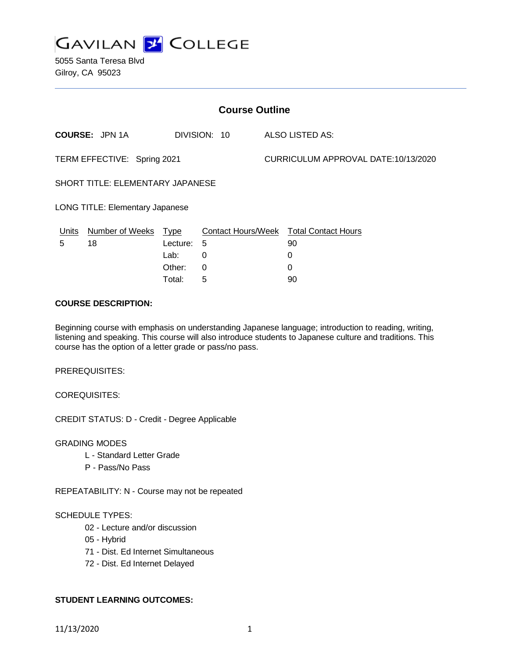

5055 Santa Teresa Blvd Gilroy, CA 95023

| <b>Course Outline</b>                  |                        |             |              |                                     |                                               |
|----------------------------------------|------------------------|-------------|--------------|-------------------------------------|-----------------------------------------------|
|                                        | <b>COURSE: JPN 1A</b>  |             | DIVISION: 10 |                                     | ALSO LISTED AS:                               |
| TERM EFFECTIVE: Spring 2021            |                        |             |              | CURRICULUM APPROVAL DATE:10/13/2020 |                                               |
| SHORT TITLE: ELEMENTARY JAPANESE       |                        |             |              |                                     |                                               |
| <b>LONG TITLE: Elementary Japanese</b> |                        |             |              |                                     |                                               |
| <u>Units</u>                           | <b>Number of Weeks</b> | <u>Type</u> |              |                                     | <b>Contact Hours/Week Total Contact Hours</b> |
| 5                                      | 18                     | Lecture:    | 5            |                                     | 90                                            |
|                                        |                        | Lab:        | 0            |                                     | 0                                             |
|                                        |                        | Other:      | 0            |                                     | 0                                             |
|                                        |                        | Total:      | 5            |                                     | 90                                            |

#### **COURSE DESCRIPTION:**

Beginning course with emphasis on understanding Japanese language; introduction to reading, writing, listening and speaking. This course will also introduce students to Japanese culture and traditions. This course has the option of a letter grade or pass/no pass.

PREREQUISITES:

COREQUISITES:

CREDIT STATUS: D - Credit - Degree Applicable

GRADING MODES

- L Standard Letter Grade
- P Pass/No Pass

REPEATABILITY: N - Course may not be repeated

#### SCHEDULE TYPES:

- 02 Lecture and/or discussion
- 05 Hybrid
- 71 Dist. Ed Internet Simultaneous
- 72 Dist. Ed Internet Delayed

#### **STUDENT LEARNING OUTCOMES:**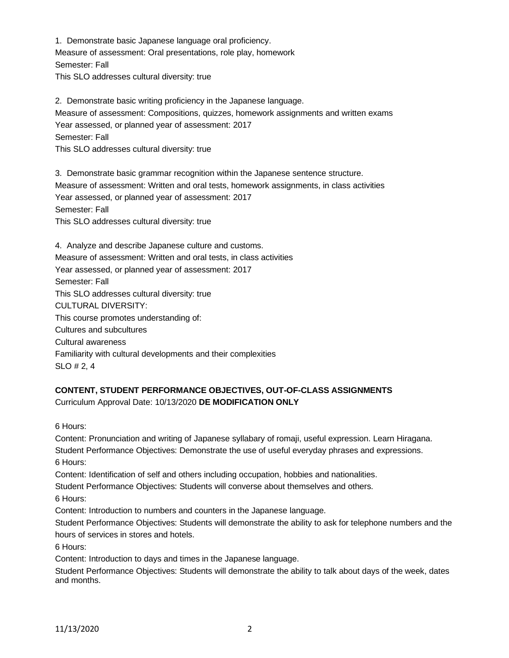1. Demonstrate basic Japanese language oral proficiency. Measure of assessment: Oral presentations, role play, homework Semester: Fall This SLO addresses cultural diversity: true

2. Demonstrate basic writing proficiency in the Japanese language. Measure of assessment: Compositions, quizzes, homework assignments and written exams Year assessed, or planned year of assessment: 2017 Semester: Fall This SLO addresses cultural diversity: true

3. Demonstrate basic grammar recognition within the Japanese sentence structure. Measure of assessment: Written and oral tests, homework assignments, in class activities Year assessed, or planned year of assessment: 2017 Semester: Fall This SLO addresses cultural diversity: true

4. Analyze and describe Japanese culture and customs. Measure of assessment: Written and oral tests, in class activities Year assessed, or planned year of assessment: 2017 Semester: Fall This SLO addresses cultural diversity: true CULTURAL DIVERSITY: This course promotes understanding of: Cultures and subcultures Cultural awareness Familiarity with cultural developments and their complexities SLO # 2, 4

# **CONTENT, STUDENT PERFORMANCE OBJECTIVES, OUT-OF-CLASS ASSIGNMENTS** Curriculum Approval Date: 10/13/2020 **DE MODIFICATION ONLY**

6 Hours:

Content: Pronunciation and writing of Japanese syllabary of romaji, useful expression. Learn Hiragana. Student Performance Objectives: Demonstrate the use of useful everyday phrases and expressions. 6 Hours:

Content: Identification of self and others including occupation, hobbies and nationalities.

Student Performance Objectives: Students will converse about themselves and others.

6 Hours:

Content: Introduction to numbers and counters in the Japanese language.

Student Performance Objectives: Students will demonstrate the ability to ask for telephone numbers and the hours of services in stores and hotels.

6 Hours:

Content: Introduction to days and times in the Japanese language.

Student Performance Objectives: Students will demonstrate the ability to talk about days of the week, dates and months.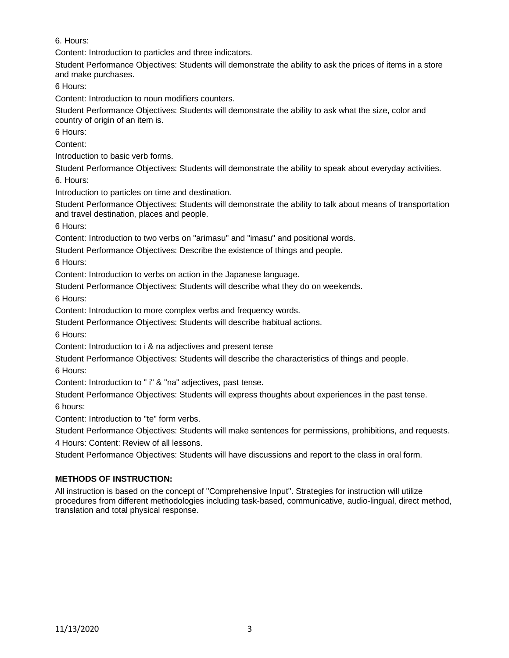6. Hours:

Content: Introduction to particles and three indicators.

Student Performance Objectives: Students will demonstrate the ability to ask the prices of items in a store and make purchases.

6 Hours:

Content: Introduction to noun modifiers counters.

Student Performance Objectives: Students will demonstrate the ability to ask what the size, color and country of origin of an item is.

6 Hours:

Content:

Introduction to basic verb forms.

Student Performance Objectives: Students will demonstrate the ability to speak about everyday activities. 6. Hours:

Introduction to particles on time and destination.

Student Performance Objectives: Students will demonstrate the ability to talk about means of transportation and travel destination, places and people.

6 Hours:

Content: Introduction to two verbs on "arimasu" and "imasu" and positional words.

Student Performance Objectives: Describe the existence of things and people.

6 Hours:

Content: Introduction to verbs on action in the Japanese language.

Student Performance Objectives: Students will describe what they do on weekends.

6 Hours:

Content: Introduction to more complex verbs and frequency words.

Student Performance Objectives: Students will describe habitual actions.

6 Hours:

Content: Introduction to i & na adjectives and present tense

Student Performance Objectives: Students will describe the characteristics of things and people.

6 Hours:

Content: Introduction to " i" & "na" adjectives, past tense.

Student Performance Objectives: Students will express thoughts about experiences in the past tense.

6 hours:

Content: Introduction to "te" form verbs.

Student Performance Objectives: Students will make sentences for permissions, prohibitions, and requests.

4 Hours: Content: Review of all lessons.

Student Performance Objectives: Students will have discussions and report to the class in oral form.

## **METHODS OF INSTRUCTION:**

All instruction is based on the concept of "Comprehensive Input". Strategies for instruction will utilize procedures from different methodologies including task-based, communicative, audio-lingual, direct method, translation and total physical response.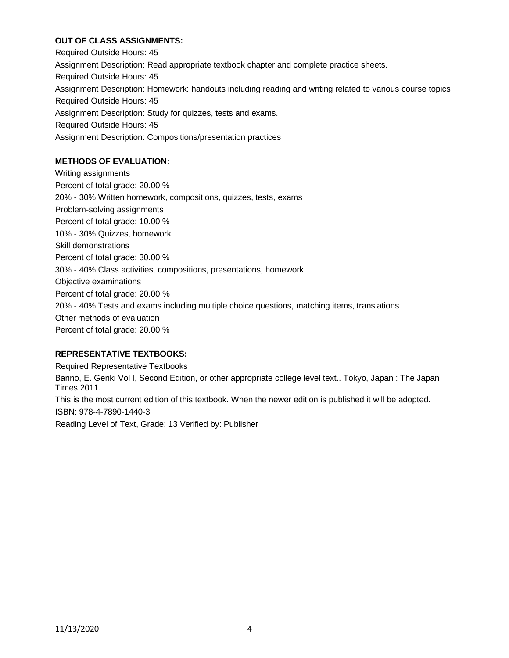### **OUT OF CLASS ASSIGNMENTS:**

Required Outside Hours: 45 Assignment Description: Read appropriate textbook chapter and complete practice sheets. Required Outside Hours: 45 Assignment Description: Homework: handouts including reading and writing related to various course topics Required Outside Hours: 45 Assignment Description: Study for quizzes, tests and exams. Required Outside Hours: 45 Assignment Description: Compositions/presentation practices

## **METHODS OF EVALUATION:**

Writing assignments Percent of total grade: 20.00 % 20% - 30% Written homework, compositions, quizzes, tests, exams Problem-solving assignments Percent of total grade: 10.00 % 10% - 30% Quizzes, homework Skill demonstrations Percent of total grade: 30.00 % 30% - 40% Class activities, compositions, presentations, homework Objective examinations Percent of total grade: 20.00 % 20% - 40% Tests and exams including multiple choice questions, matching items, translations Other methods of evaluation Percent of total grade: 20.00 %

#### **REPRESENTATIVE TEXTBOOKS:**

Required Representative Textbooks Banno, E. Genki Vol I, Second Edition, or other appropriate college level text.. Tokyo, Japan : The Japan Times,2011. This is the most current edition of this textbook. When the newer edition is published it will be adopted. ISBN: 978-4-7890-1440-3 Reading Level of Text, Grade: 13 Verified by: Publisher